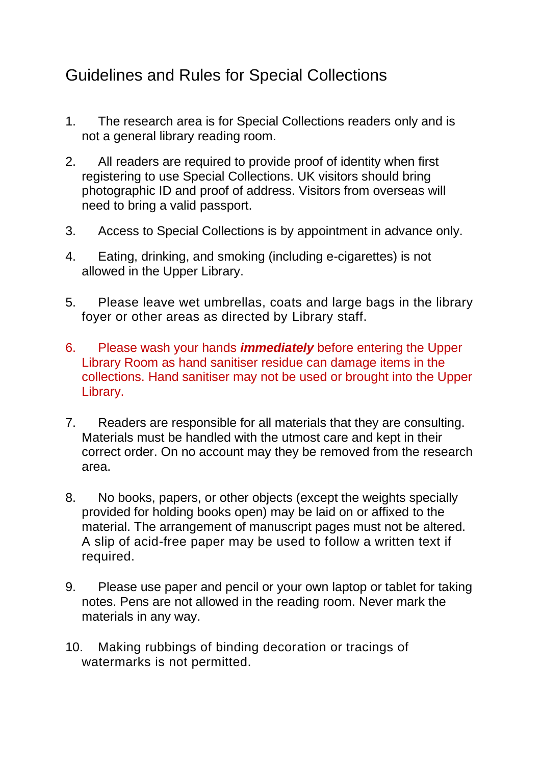## Guidelines and Rules for Special Collections

- 1. The research area is for Special Collections readers only and is not a general library reading room.
- 2. All readers are required to provide proof of identity when first registering to use Special Collections. UK visitors should bring photographic ID and proof of address. Visitors from overseas will need to bring a valid passport.
- 3. Access to Special Collections is by appointment in advance only.
- 4. Eating, drinking, and smoking (including e-cigarettes) is not allowed in the Upper Library.
- 5. Please leave wet umbrellas, coats and large bags in the library foyer or other areas as directed by Library staff.
- 6. Please wash your hands *immediately* before entering the Upper Library Room as hand sanitiser residue can damage items in the collections. Hand sanitiser may not be used or brought into the Upper Library.
- 7. Readers are responsible for all materials that they are consulting. Materials must be handled with the utmost care and kept in their correct order. On no account may they be removed from the research area.
- 8. No books, papers, or other objects (except the weights specially provided for holding books open) may be laid on or affixed to the material. The arrangement of manuscript pages must not be altered. A slip of acid-free paper may be used to follow a written text if required.
- 9. Please use paper and pencil or your own laptop or tablet for taking notes. Pens are not allowed in the reading room. Never mark the materials in any way.
- 10. Making rubbings of binding decoration or tracings of watermarks is not permitted.